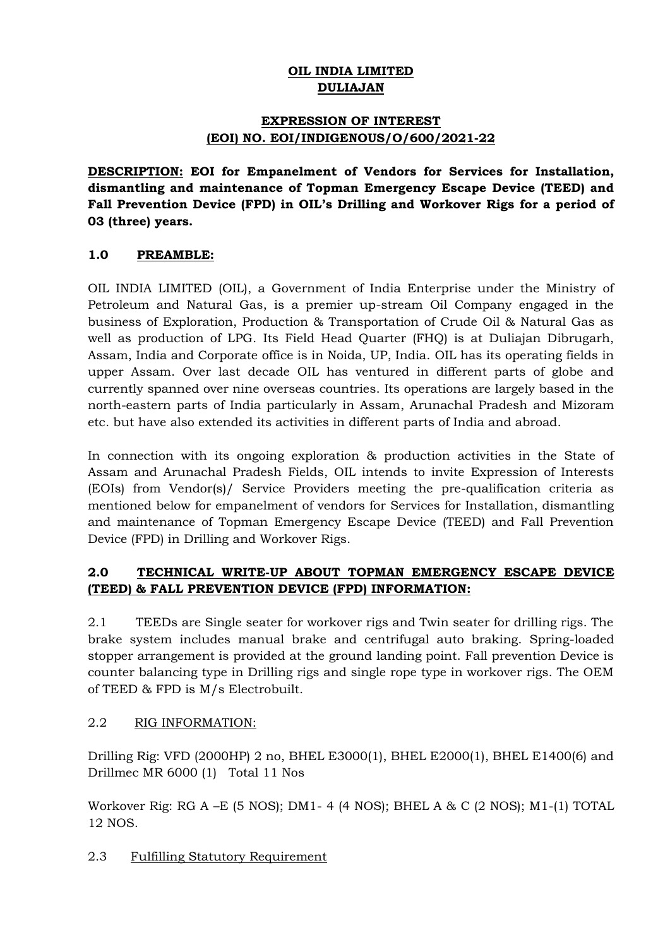# **OIL INDIA LIMITED DULIAJAN**

## **EXPRESSION OF INTEREST (EOI) NO. EOI/INDIGENOUS/O/600/2021-22**

**DESCRIPTION: EOI for Empanelment of Vendors for Services for Installation, dismantling and maintenance of Topman Emergency Escape Device (TEED) and Fall Prevention Device (FPD) in OIL's Drilling and Workover Rigs for a period of 03 (three) years.**

## **1.0 PREAMBLE:**

OIL INDIA LIMITED (OIL), a Government of India Enterprise under the Ministry of Petroleum and Natural Gas, is a premier up-stream Oil Company engaged in the business of Exploration, Production & Transportation of Crude Oil & Natural Gas as well as production of LPG. Its Field Head Quarter (FHQ) is at Duliajan Dibrugarh, Assam, India and Corporate office is in Noida, UP, India. OIL has its operating fields in upper Assam. Over last decade OIL has ventured in different parts of globe and currently spanned over nine overseas countries. Its operations are largely based in the north-eastern parts of India particularly in Assam, Arunachal Pradesh and Mizoram etc. but have also extended its activities in different parts of India and abroad.

In connection with its ongoing exploration & production activities in the State of Assam and Arunachal Pradesh Fields, OIL intends to invite Expression of Interests (EOIs) from Vendor(s)/ Service Providers meeting the pre-qualification criteria as mentioned below for empanelment of vendors for Services for Installation, dismantling and maintenance of Topman Emergency Escape Device (TEED) and Fall Prevention Device (FPD) in Drilling and Workover Rigs.

# **2.0 TECHNICAL WRITE-UP ABOUT TOPMAN EMERGENCY ESCAPE DEVICE (TEED) & FALL PREVENTION DEVICE (FPD) INFORMATION:**

2.1 TEEDs are Single seater for workover rigs and Twin seater for drilling rigs. The brake system includes manual brake and centrifugal auto braking. Spring-loaded stopper arrangement is provided at the ground landing point. Fall prevention Device is counter balancing type in Drilling rigs and single rope type in workover rigs. The OEM of TEED & FPD is M/s Electrobuilt.

# 2.2 RIG INFORMATION:

Drilling Rig: VFD (2000HP) 2 no, BHEL E3000(1), BHEL E2000(1), BHEL E1400(6) and Drillmec MR 6000 (1) Total 11 Nos

Workover Rig: RG A –E (5 NOS); DM1- 4 (4 NOS); BHEL A & C (2 NOS); M1-(1) TOTAL 12 NOS.

2.3 Fulfilling Statutory Requirement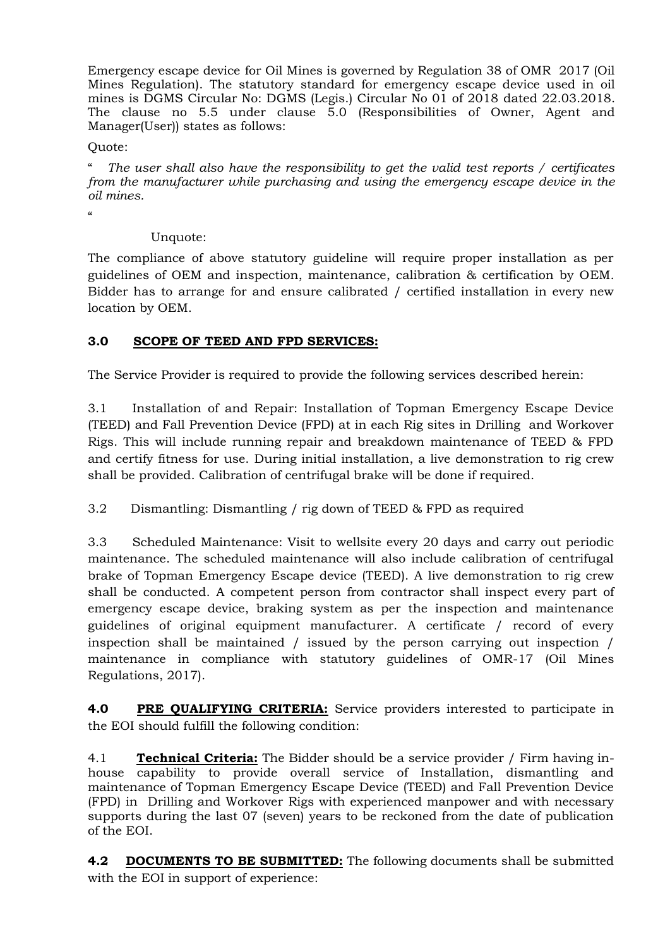Emergency escape device for Oil Mines is governed by Regulation 38 of OMR 2017 (Oil Mines Regulation). The statutory standard for emergency escape device used in oil mines is DGMS Circular No: DGMS (Legis.) Circular No 01 of 2018 dated 22.03.2018. The clause no 5.5 under clause 5.0 (Responsibilities of Owner, Agent and Manager(User)) states as follows:

### Quote:

" *The user shall also have the responsibility to get the valid test reports / certificates from the manufacturer while purchasing and using the emergency escape device in the oil mines.*

 $\alpha$ 

## Unquote:

The compliance of above statutory guideline will require proper installation as per guidelines of OEM and inspection, maintenance, calibration & certification by OEM. Bidder has to arrange for and ensure calibrated / certified installation in every new location by OEM.

## **3.0 SCOPE OF TEED AND FPD SERVICES:**

The Service Provider is required to provide the following services described herein:

3.1 Installation of and Repair: Installation of Topman Emergency Escape Device (TEED) and Fall Prevention Device (FPD) at in each Rig sites in Drilling and Workover Rigs. This will include running repair and breakdown maintenance of TEED & FPD and certify fitness for use. During initial installation, a live demonstration to rig crew shall be provided. Calibration of centrifugal brake will be done if required.

3.2 Dismantling: Dismantling / rig down of TEED & FPD as required

3.3 Scheduled Maintenance: Visit to wellsite every 20 days and carry out periodic maintenance. The scheduled maintenance will also include calibration of centrifugal brake of Topman Emergency Escape device (TEED). A live demonstration to rig crew shall be conducted. A competent person from contractor shall inspect every part of emergency escape device, braking system as per the inspection and maintenance guidelines of original equipment manufacturer. A certificate / record of every inspection shall be maintained / issued by the person carrying out inspection / maintenance in compliance with statutory guidelines of OMR-17 (Oil Mines Regulations, 2017).

**4.0 PRE QUALIFYING CRITERIA:** Service providers interested to participate in the EOI should fulfill the following condition:

4.1 **Technical Criteria:** The Bidder should be a service provider / Firm having inhouse capability to provide overall service of Installation, dismantling and maintenance of Topman Emergency Escape Device (TEED) and Fall Prevention Device (FPD) in Drilling and Workover Rigs with experienced manpower and with necessary supports during the last 07 (seven) years to be reckoned from the date of publication of the EOI.

**4.2 DOCUMENTS TO BE SUBMITTED:** The following documents shall be submitted with the EOI in support of experience: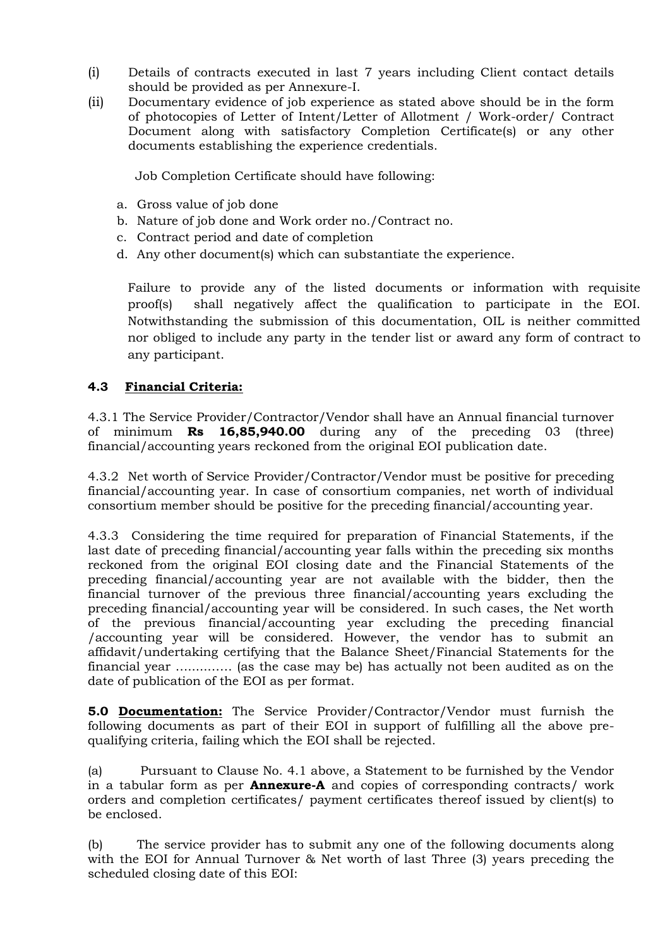- (i) Details of contracts executed in last 7 years including Client contact details should be provided as per Annexure-I.
- (ii) Documentary evidence of job experience as stated above should be in the form of photocopies of Letter of Intent/Letter of Allotment / Work-order/ Contract Document along with satisfactory Completion Certificate(s) or any other documents establishing the experience credentials.

Job Completion Certificate should have following:

- a. Gross value of job done
- b. Nature of job done and Work order no./Contract no.
- c. Contract period and date of completion
- d. Any other document(s) which can substantiate the experience.

Failure to provide any of the listed documents or information with requisite proof(s) shall negatively affect the qualification to participate in the EOI. Notwithstanding the submission of this documentation, OIL is neither committed nor obliged to include any party in the tender list or award any form of contract to any participant.

## **4.3 Financial Criteria:**

4.3.1 The Service Provider/Contractor/Vendor shall have an Annual financial turnover of minimum **Rs 16,85,940.00** during any of the preceding 03 (three) financial/accounting years reckoned from the original EOI publication date.

4.3.2Net worth of Service Provider/Contractor/Vendor must be positive for preceding financial/accounting year. In case of consortium companies, net worth of individual consortium member should be positive for the preceding financial/accounting year.

4.3.3 Considering the time required for preparation of Financial Statements, if the last date of preceding financial/accounting year falls within the preceding six months reckoned from the original EOI closing date and the Financial Statements of the preceding financial/accounting year are not available with the bidder, then the financial turnover of the previous three financial/accounting years excluding the preceding financial/accounting year will be considered. In such cases, the Net worth of the previous financial/accounting year excluding the preceding financial /accounting year will be considered. However, the vendor has to submit an affidavit/undertaking certifying that the Balance Sheet/Financial Statements for the financial year ….....…… (as the case may be) has actually not been audited as on the date of publication of the EOI as per format.

**5.0 Documentation:** The Service Provider/Contractor/Vendor must furnish the following documents as part of their EOI in support of fulfilling all the above prequalifying criteria, failing which the EOI shall be rejected.

(a) Pursuant to Clause No. 4.1 above, a Statement to be furnished by the Vendor in a tabular form as per **Annexure-A** and copies of corresponding contracts/ work orders and completion certificates/ payment certificates thereof issued by client(s) to be enclosed.

(b) The service provider has to submit any one of the following documents along with the EOI for Annual Turnover & Net worth of last Three (3) years preceding the scheduled closing date of this EOI: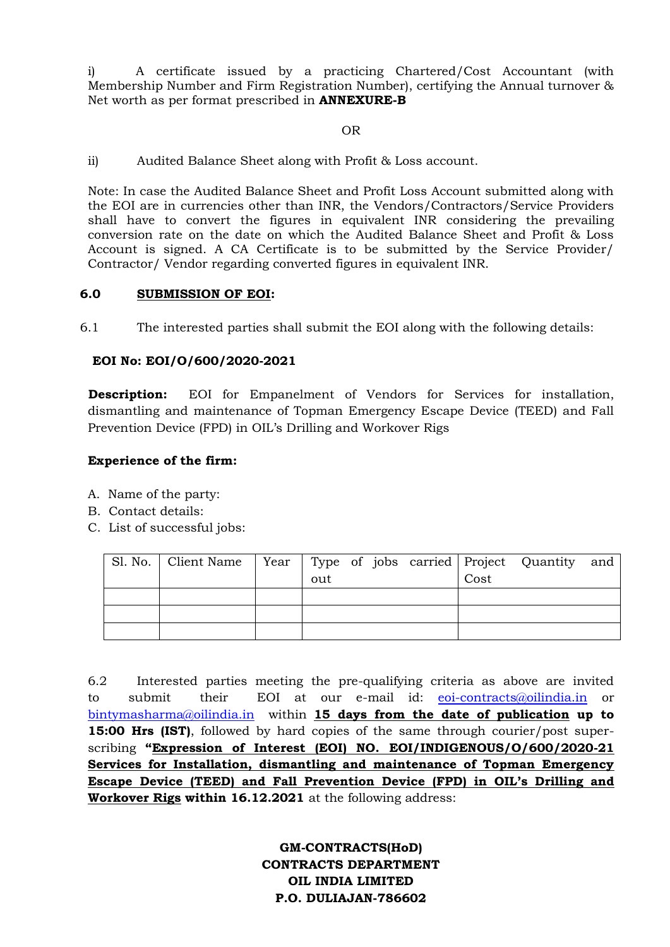i) A certificate issued by a practicing Chartered/Cost Accountant (with Membership Number and Firm Registration Number), certifying the Annual turnover & Net worth as per format prescribed in **ANNEXURE-B**

#### OR

ii) Audited Balance Sheet along with Profit & Loss account.

Note: In case the Audited Balance Sheet and Profit Loss Account submitted along with the EOI are in currencies other than INR, the Vendors/Contractors/Service Providers shall have to convert the figures in equivalent INR considering the prevailing conversion rate on the date on which the Audited Balance Sheet and Profit & Loss Account is signed. A CA Certificate is to be submitted by the Service Provider/ Contractor/ Vendor regarding converted figures in equivalent INR.

### **6.0 SUBMISSION OF EOI:**

6.1 The interested parties shall submit the EOI along with the following details:

### **EOI No: EOI/O/600/2020-2021**

**Description:** EOI for Empanelment of Vendors for Services for installation, dismantling and maintenance of Topman Emergency Escape Device (TEED) and Fall Prevention Device (FPD) in OIL's Drilling and Workover Rigs

### **Experience of the firm:**

- A. Name of the party:
- B. Contact details:
- C. List of successful jobs:

| Sl. No.   Client Name   Year   Type of jobs carried   Project Quantity and |     |  |      |  |
|----------------------------------------------------------------------------|-----|--|------|--|
|                                                                            | out |  | Cost |  |
|                                                                            |     |  |      |  |
|                                                                            |     |  |      |  |
|                                                                            |     |  |      |  |

6.2 Interested parties meeting the pre-qualifying criteria as above are invited to submit their EOI at our e-mail id: [eoi-contracts@oilindia.in](mailto:eoi-contracts@oilindia.in) or [bintymasharma@oilindia.in](mailto:bintymasharma@oilindia.in) within **15 days from the date of publication up to 15:00 Hrs (IST)**, followed by hard copies of the same through courier/post superscribing **"Expression of Interest (EOI) NO. EOI/INDIGENOUS/O/600/2020-21 Services for Installation, dismantling and maintenance of Topman Emergency Escape Device (TEED) and Fall Prevention Device (FPD) in OIL's Drilling and Workover Rigs within 16.12.2021** at the following address:

> **GM-CONTRACTS(HoD) CONTRACTS DEPARTMENT OIL INDIA LIMITED P.O. DULIAJAN-786602**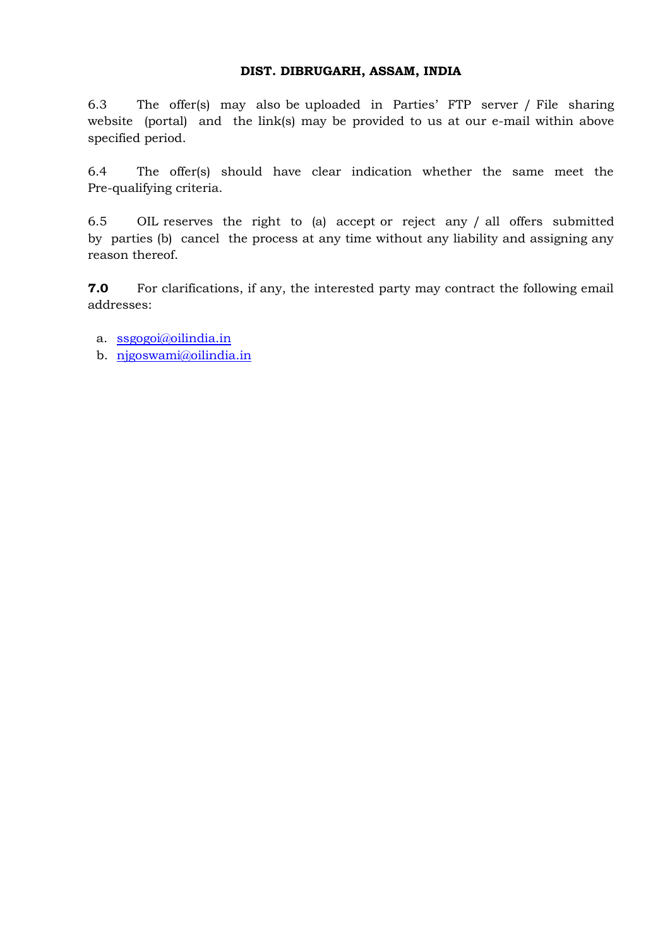#### **DIST. DIBRUGARH, ASSAM, INDIA**

6.3 The offer(s) may also be uploaded in Parties' FTP server / File sharing website (portal) and the link(s) may be provided to us at our e-mail within above specified period.

6.4 The offer(s) should have clear indication whether the same meet the Pre-qualifying criteria.

6.5 OIL reserves the right to (a) accept or reject any / all offers submitted by parties (b) cancel the process at any time without any liability and assigning any reason thereof.

**7.0** For clarifications, if any, the interested party may contract the following email addresses:

- a. [ssgogoi@oilindia.in](mailto:ssgogoi@oilindia.in)
- b. [njgoswami@oilindia.in](mailto:njgoswami@oilindia.in)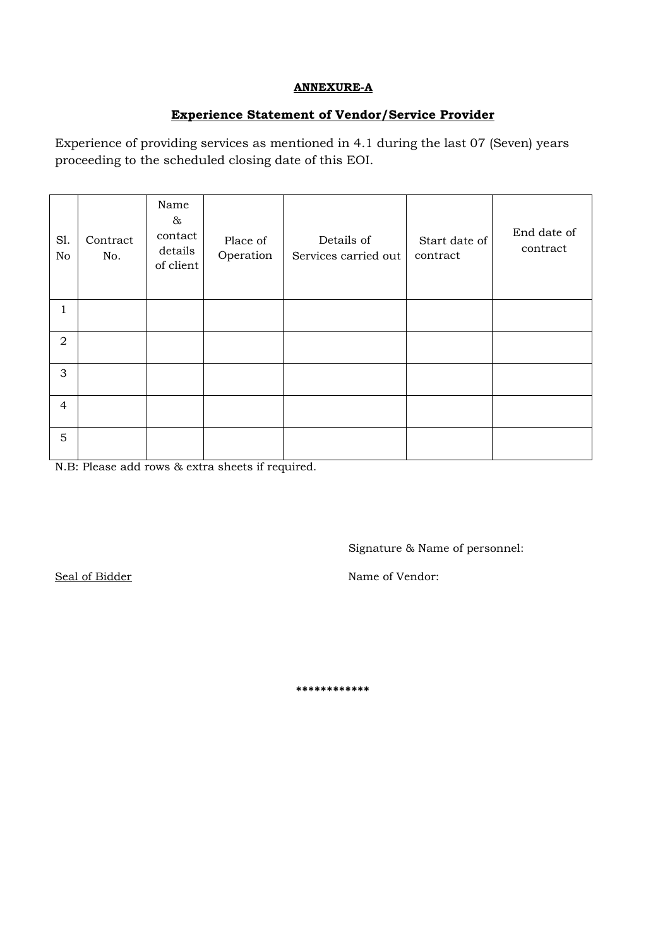#### **ANNEXURE-A**

# **Experience Statement of Vendor/Service Provider**

Experience of providing services as mentioned in 4.1 during the last 07 (Seven) years proceeding to the scheduled closing date of this EOI.

| S1.<br>No      | Contract<br>No. | Name<br>$\&$<br>contact<br>details<br>of client | Place of<br>Operation | Details of<br>Services carried out | Start date of<br>contract | End date of<br>contract |
|----------------|-----------------|-------------------------------------------------|-----------------------|------------------------------------|---------------------------|-------------------------|
| 1              |                 |                                                 |                       |                                    |                           |                         |
| $\overline{2}$ |                 |                                                 |                       |                                    |                           |                         |
| 3              |                 |                                                 |                       |                                    |                           |                         |
| 4              |                 |                                                 |                       |                                    |                           |                         |
| 5              |                 |                                                 |                       |                                    |                           |                         |

N.B: Please add rows & extra sheets if required.

Signature & Name of personnel:

Seal of Bidder Name of Vendor:

**\*\*\*\*\*\*\*\*\*\*\*\***